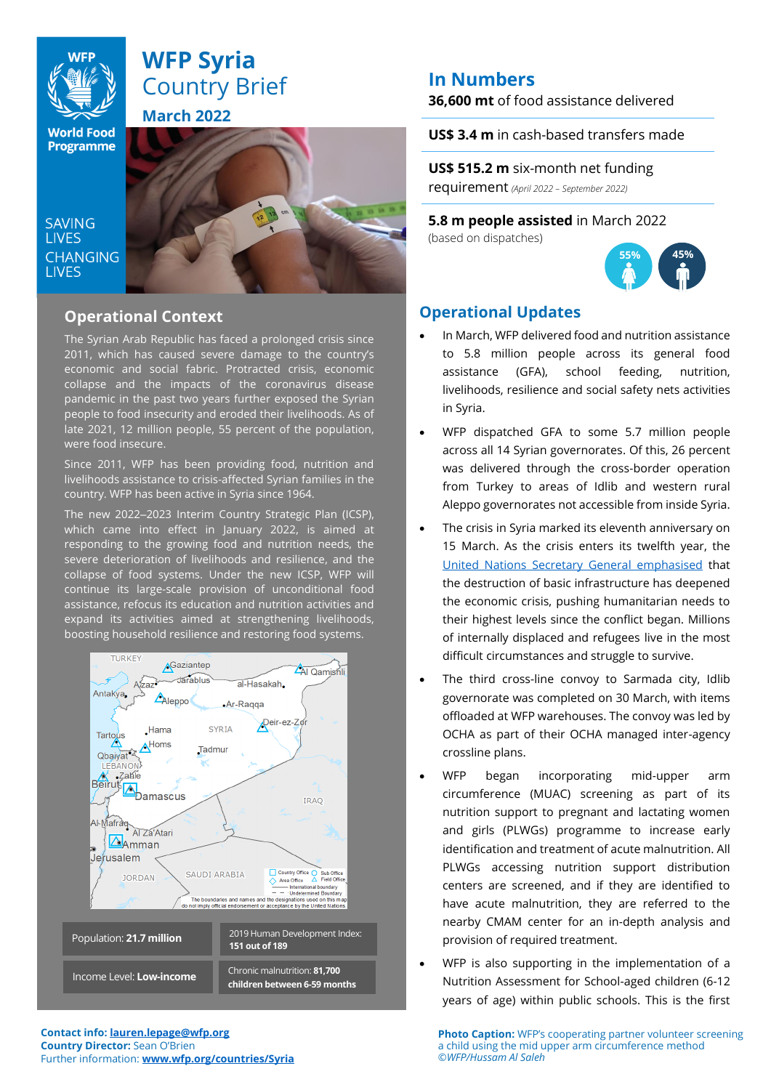

# **WFP Syria** Country Brief **March 2022**

**World Food Programme** 

**SAVING LIVES CHANGING LIVES** 



## **Operational Context**

The Syrian Arab Republic has faced a prolonged crisis since 2011, which has caused severe damage to the country's economic and social fabric. Protracted crisis, economic collapse and the impacts of the coronavirus disease pandemic in the past two years further exposed the Syrian people to food insecurity and eroded their livelihoods. As of late 2021, 12 million people, 55 percent of the population, were food insecure.

Since 2011, WFP has been providing food, nutrition and livelihoods assistance to crisis-affected Syrian families in the country. WFP has been active in Syria since 1964.

The new 2022-2023 Interim Country Strategic Plan (ICSP), which came into effect in January 2022, is aimed at responding to the growing food and nutrition needs, the severe deterioration of livelihoods and resilience, and the collapse of food systems. Under the new ICSP, WFP will continue its large-scale provision of unconditional food assistance, refocus its education and nutrition activities and expand its activities aimed at strengthening livelihoods, boosting household resilience and restoring food systems.



**Contact info: lauren.lepage@wfp.org Country Director:** Sean O'Brien Further information: **[www.wfp.org/countries/Syria](http://www.wfp.org/countries/Syria)**

# **In Numbers**

**36,600 mt** of food assistance delivered

**US\$ 3.4 m** in cash-based transfers made

**US\$ 515.2 m** six-month net funding requirement *(April <sup>2022</sup> – September 2022)*

**5.8 m people assisted** in March 2022 (based on dispatches)



## **Operational Updates**

- In March, WFP delivered food and nutrition assistance to 5.8 million people across its general food assistance (GFA), school feeding, nutrition, livelihoods, resilience and social safety nets activities in Syria.
- WFP dispatched GFA to some 5.7 million people across all 14 Syrian governorates. Of this, 26 percent was delivered through the cross-border operation from Turkey to areas of Idlib and western rural Aleppo governorates not accessible from inside Syria.
- The crisis in Syria marked its eleventh anniversary on 15 March. As the crisis enters its twelfth year, the [United Nations Secretary General emphasised](https://reliefweb.int/report/syrian-arab-republic/we-cannot-fail-syrian-people-secretary-general-says-stressing-there-must) that the destruction of basic infrastructure has deepened the economic crisis, pushing humanitarian needs to their highest levels since the conflict began. Millions of internally displaced and refugees live in the most difficult circumstances and struggle to survive.
- The third cross-line convoy to Sarmada city, Idlib governorate was completed on 30 March, with items offloaded at WFP warehouses. The convoy was led by OCHA as part of their OCHA managed inter-agency crossline plans.
- WFP began incorporating mid-upper arm circumference (MUAC) screening as part of its nutrition support to pregnant and lactating women and girls (PLWGs) programme to increase early identification and treatment of acute malnutrition. All PLWGs accessing nutrition support distribution centers are screened, and if they are identified to have acute malnutrition, they are referred to the nearby CMAM center for an in-depth analysis and provision of required treatment.
- WFP is also supporting in the implementation of a Nutrition Assessment for School-aged children (6-12 years of age) within public schools. This is the first

**Photo Caption:** WFP's cooperating partner volunteer screening a child using the mid upper arm circumference method ©*WFP/Hussam Al Saleh*